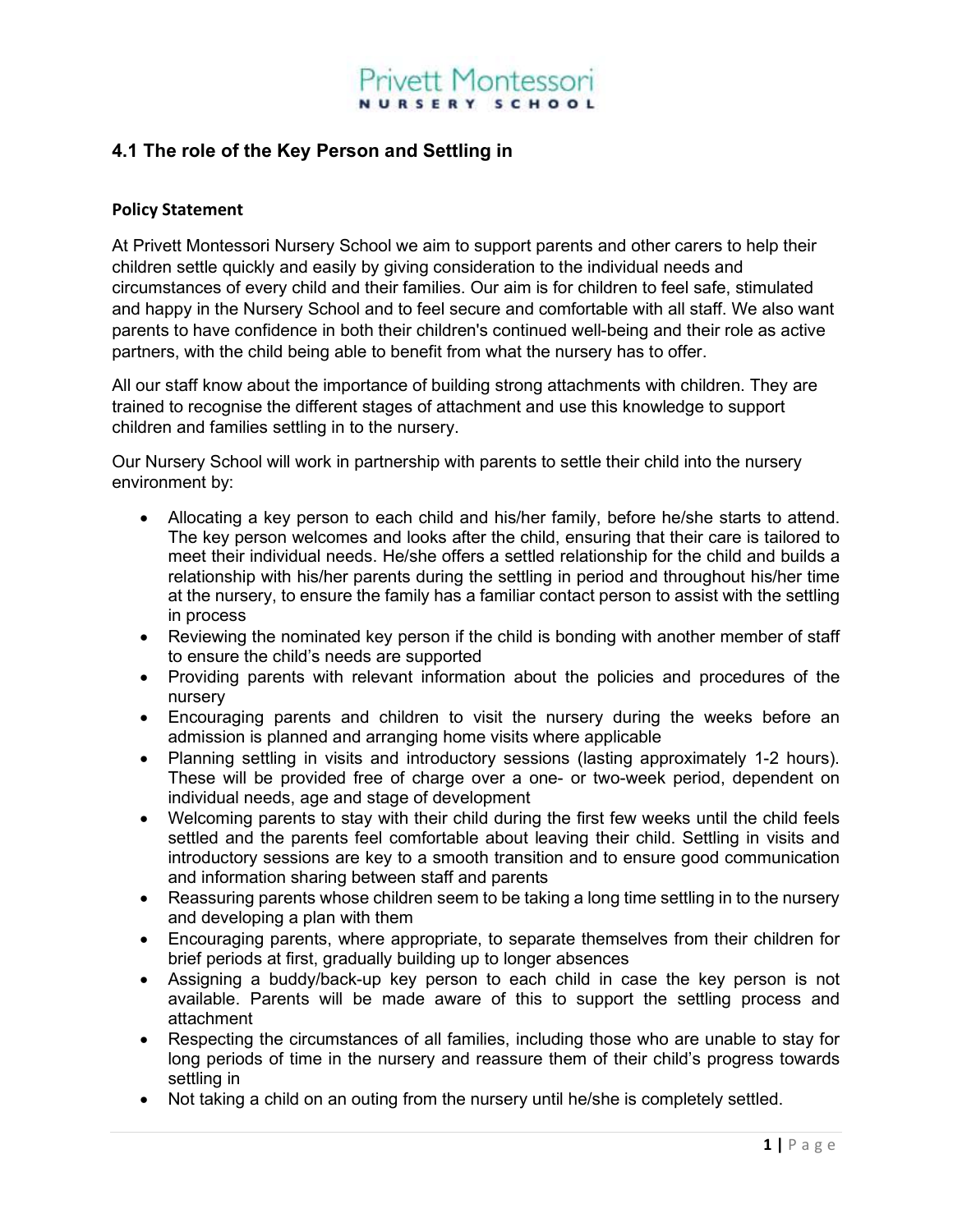## 4.1 The role of the Key Person and Settling in

## Policy Statement

At Privett Montessori Nursery School we aim to support parents and other carers to help their children settle quickly and easily by giving consideration to the individual needs and circumstances of every child and their families. Our aim is for children to feel safe, stimulated and happy in the Nursery School and to feel secure and comfortable with all staff. We also want parents to have confidence in both their children's continued well-being and their role as active partners, with the child being able to benefit from what the nursery has to offer.

All our staff know about the importance of building strong attachments with children. They are trained to recognise the different stages of attachment and use this knowledge to support children and families settling in to the nursery.

Our Nursery School will work in partnership with parents to settle their child into the nursery environment by:

- Allocating a key person to each child and his/her family, before he/she starts to attend. The key person welcomes and looks after the child, ensuring that their care is tailored to meet their individual needs. He/she offers a settled relationship for the child and builds a relationship with his/her parents during the settling in period and throughout his/her time at the nursery, to ensure the family has a familiar contact person to assist with the settling in process
- Reviewing the nominated key person if the child is bonding with another member of staff to ensure the child's needs are supported
- Providing parents with relevant information about the policies and procedures of the nursery
- Encouraging parents and children to visit the nursery during the weeks before an admission is planned and arranging home visits where applicable
- Planning settling in visits and introductory sessions (lasting approximately 1-2 hours). These will be provided free of charge over a one- or two-week period, dependent on individual needs, age and stage of development
- Welcoming parents to stay with their child during the first few weeks until the child feels settled and the parents feel comfortable about leaving their child. Settling in visits and introductory sessions are key to a smooth transition and to ensure good communication and information sharing between staff and parents
- Reassuring parents whose children seem to be taking a long time settling in to the nursery and developing a plan with them
- Encouraging parents, where appropriate, to separate themselves from their children for brief periods at first, gradually building up to longer absences
- Assigning a buddy/back-up key person to each child in case the key person is not available. Parents will be made aware of this to support the settling process and attachment
- Respecting the circumstances of all families, including those who are unable to stay for long periods of time in the nursery and reassure them of their child's progress towards settling in
- Not taking a child on an outing from the nursery until he/she is completely settled.